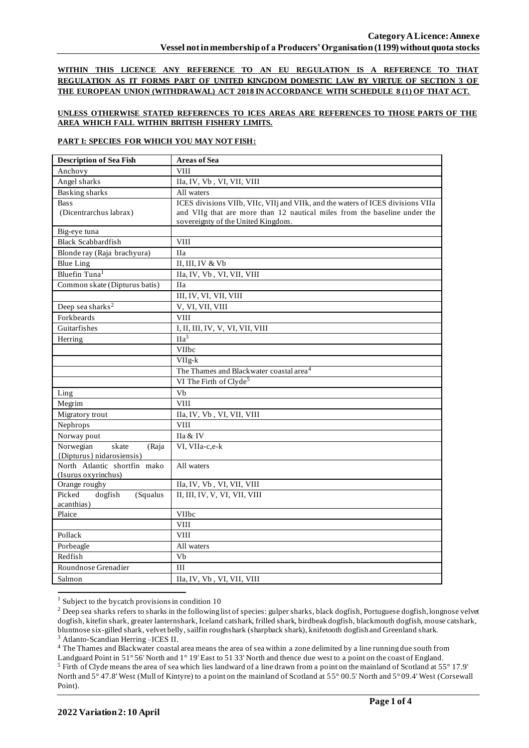**WITHIN THIS LICENCE ANY REFERENCE TO AN EU REGULATION IS A REFERENCE TO THAT REGULATION AS IT FORMS PART OF UNITED KINGDOM DOMESTIC LAW BY VIRTUE OF SECTION 3 OF THE EUROPEAN UNION (WITHDRAWAL) ACT 2018 IN ACCORDANCE WITH SCHEDULE 8 (1) OF THAT ACT.**

## **UNLESS OTHERWISE STATED REFERENCES TO ICES AREAS ARE REFERENCES TO THOSE PARTS OF THE AREA WHICH FALL WITHIN BRITISH FISHERY LIMITS.**

## **PART I: SPECIES FOR WHICH YOU MAY NOT FISH:**

| <b>Description of Sea Fish</b>       | <b>Areas of Sea</b>                                                             |
|--------------------------------------|---------------------------------------------------------------------------------|
| Anchovy                              | <b>VIII</b>                                                                     |
| Angel sharks                         | IIa, IV, Vb, VI, VII, VIII                                                      |
| <b>Basking sharks</b>                | All waters                                                                      |
| <b>Bass</b>                          | ICES divisions VIIb, VIIc, VIIj and VIIk, and the waters of ICES divisions VIIa |
| (Dicentrarchus labrax)               | and VIIg that are more than 12 nautical miles from the baseline under the       |
|                                      | sovereignty of the United Kingdom.                                              |
| Big-eye tuna                         |                                                                                 |
| <b>Black Scabbardfish</b>            | <b>VIII</b>                                                                     |
| Blonde ray (Raja brachyura)          | <b>IIa</b>                                                                      |
| <b>Blue Ling</b>                     | II, III, IV & Vb                                                                |
| Bluefin Tuna <sup>1</sup>            | IIa, IV, Vb, VI, VII, VIII                                                      |
| Common skate (Dipturus batis)        | <b>IIa</b>                                                                      |
|                                      | III, IV, VI, VII, VIII                                                          |
| Deep sea sharks <sup>2</sup>         | V, VI, VII, VIII                                                                |
| Forkbeards                           | <b>VIII</b>                                                                     |
| Guitarfishes                         | I, II, III, IV, V, VI, VII, VIII                                                |
| Herring                              | $\Pi a^3$                                                                       |
|                                      | <b>VIIbc</b>                                                                    |
|                                      | VIIg-k                                                                          |
|                                      | The Thames and Blackwater coastal area <sup>4</sup>                             |
|                                      | VI The Firth of Clyde <sup>5</sup>                                              |
| Ling                                 | Vb                                                                              |
| Megrim                               | <b>VIII</b>                                                                     |
| Migratory trout                      | IIa, IV, Vb, VI, VII, VIII                                                      |
| Nephrops                             | <b>VIII</b>                                                                     |
| Norway pout                          | IIa & IV                                                                        |
| Norwegian<br>skate<br>(Raja          | VI, VIIa-c,e-k                                                                  |
| {Dipturus} nidarosiensis)            |                                                                                 |
| North Atlantic shortfin mako         | All waters                                                                      |
| (Isurus oxyrinchus)<br>Orange roughy | IIa, IV, Vb, VI, VII, VIII                                                      |
| Picked<br>dogfish<br>(Squalus        | II, III, IV, V, VI, VII, VIII                                                   |
| acanthias)                           |                                                                                 |
| Plaice                               | VIIbc                                                                           |
|                                      | <b>VIII</b>                                                                     |
| Pollack                              | <b>VIII</b>                                                                     |
| Porbeagle                            | All waters                                                                      |
| Redfish                              | Vb                                                                              |
| Roundnose Grenadier                  | III                                                                             |
| Salmon                               | IIa, IV, Vb, VI, VII, VIII                                                      |

 $1$  Subject to the bycatch provisions in condition 10

<sup>4</sup> The Thames and Blackwater coastal area means the area of sea within a zone delimited by a line running due south from

<sup>&</sup>lt;sup>2</sup> Deep sea sharks refers to sharks in the following list of species: gulper sharks, black dogfish, Portuguese dogfish, longnose velvet dogfish, kitefin shark, greater lanternshark, Iceland catshark, frilled shark, birdbeak dogfish, blackmouth dogfish, mouse catshark, bluntnose six-gilled shark, velvet belly, sailfin roughshark (sharpback shark), knifetooth dogfish and Greenland shark. <sup>3</sup> Atlanto-Scandian Herring –ICES II.

Landguard Point in 51° 56' North and 1° 19' East to 51 33' North and thence due west to a point on the coast of England. <sup>5</sup> Firth of Clyde means the area of sea which lies landward of a line drawn from a point on the mainland of Scotland at 55° 17.9' North and 5° 47.8' West (Mull of Kintyre) to a point on the mainland of Scotland at 55° 00.5' North and 5° 09.4' West (Corsewall Point).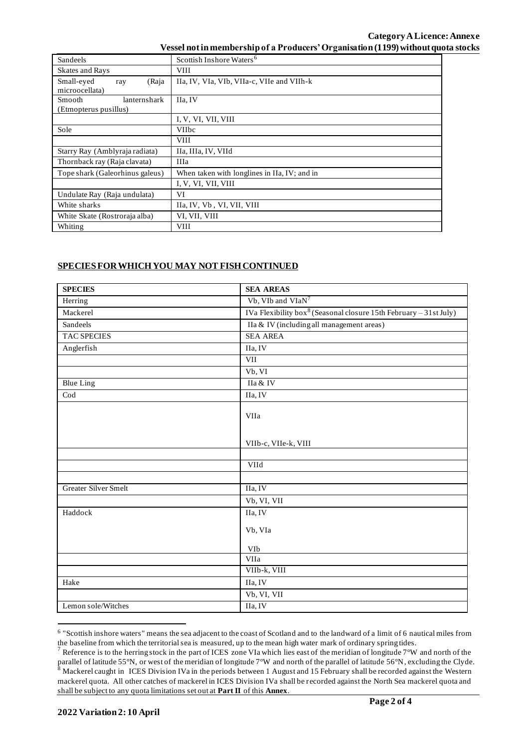## **Category ALicence: Annexe** Vessel not in membership of a Producers' Organisation (1199) without quota stocks

| Sandeels                        | Scottish Inshore Waters <sup>6</sup>         |
|---------------------------------|----------------------------------------------|
| <b>Skates and Rays</b>          | VIII                                         |
| Small-eyed<br>(Raja<br>ray      | IIa, IV, VIa, VIb, VIIa-c, VIIe and VIIh-k   |
| microocellata)                  |                                              |
| lanternshark<br>Smooth          | IIa, IV                                      |
| (Etmopterus pusillus)           |                                              |
|                                 | I, V, VI, VII, VIII                          |
| Sole                            | <b>VIIbc</b>                                 |
|                                 | <b>VIII</b>                                  |
| Starry Ray (Amblyraja radiata)  | IIa, IIIa, IV, VIId                          |
| Thornback ray (Raja clavata)    | IIIa                                         |
| Tope shark (Galeorhinus galeus) | When taken with longlines in IIa, IV; and in |
|                                 | I, V, VI, VII, VIII                          |
| Undulate Ray (Raja undulata)    | VI                                           |
| White sharks                    | IIa, IV, Vb, VI, VII, VIII                   |
| White Skate (Rostroraja alba)   | VI, VII, VIII                                |
| Whiting                         | VIII                                         |

## **SPECIES FOR WHICH YOU MAY NOT FISH CONTINUED**

| <b>SPECIES</b>              | <b>SEA AREAS</b>                                                              |
|-----------------------------|-------------------------------------------------------------------------------|
| Herring                     | Vb, VIb and VIaN <sup>7</sup>                                                 |
| Mackerel                    | IVa Flexibility box <sup>8</sup> (Seasonal closure 15th February - 31st July) |
| Sandeels                    | IIa & IV (including all management areas)                                     |
| <b>TAC SPECIES</b>          | <b>SEA AREA</b>                                                               |
| Anglerfish                  | IIa, IV                                                                       |
|                             | <b>VII</b>                                                                    |
|                             | Vb, VI                                                                        |
| <b>Blue Ling</b>            | IIa & IV                                                                      |
| $\overline{\mathrm{Cod}}$   | IIa, IV                                                                       |
|                             | VIIa                                                                          |
|                             | VIIb-c, VIIe-k, VIII                                                          |
|                             |                                                                               |
|                             | VIId                                                                          |
| <b>Greater Silver Smelt</b> | IIa, IV                                                                       |
|                             |                                                                               |
|                             | Vb, VI, VII                                                                   |
| Haddock                     | IIa, IV                                                                       |
|                             | Vb, VIa                                                                       |
|                             | VIb                                                                           |
|                             | VIIa                                                                          |
|                             | VIIb-k, VIII                                                                  |
| Hake                        | IIa, IV                                                                       |
|                             | Vb, VI, VII                                                                   |
| Lemon sole/Witches          | IIa, IV                                                                       |

<sup>&</sup>lt;sup>6</sup> "Scottish inshore waters" means the sea adjacent to the coast of Scotland and to the landward of a limit of 6 nautical miles from the baseline from which the territorial sea is measured, up to the mean high water mark of ordinary spring tides.

 $7$  Reference is to the herring stock in the part of ICES zone VIa which lies east of the meridian of longitude  $7°W$  and north of the parallel of latitude 55°N, or west of the meridian of longitude 7°W and north of the parallel of latitude 56°N, excluding the Clyde. <sup>8</sup> Mackerel caught in ICES Division IVa in the periods between 1 August and 15 February shall be recorded against the Western mackerel quota. All other catches of mackerel in ICES Division IVa shall be recorded against the North Sea mackerel quota and shall be subject to any quota limitations set out at **Part II** of this **Annex**.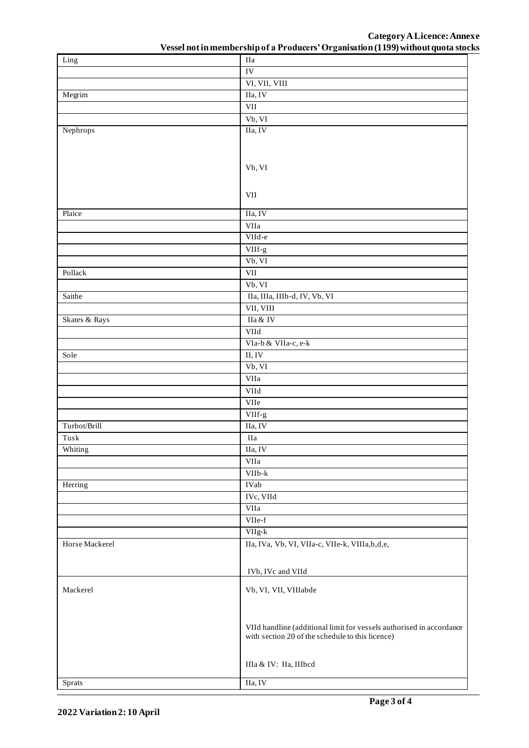**Category ALicence: Annexe**

| Ling           | <b>IIa</b>                                                                                                                                             |
|----------------|--------------------------------------------------------------------------------------------------------------------------------------------------------|
|                | IV                                                                                                                                                     |
|                | VI, VII, VIII                                                                                                                                          |
| Megrim         | IIa, IV                                                                                                                                                |
|                | VII                                                                                                                                                    |
|                | Vb, VI                                                                                                                                                 |
| Nephrops       | IIa, IV                                                                                                                                                |
|                |                                                                                                                                                        |
|                |                                                                                                                                                        |
|                | Vb, VI                                                                                                                                                 |
|                |                                                                                                                                                        |
|                |                                                                                                                                                        |
|                | VII                                                                                                                                                    |
| Plaice         | IIa, IV                                                                                                                                                |
|                | VIIa                                                                                                                                                   |
|                | VIId-e                                                                                                                                                 |
|                | VIIf-g                                                                                                                                                 |
|                | Vb, VI                                                                                                                                                 |
| Pollack        | <b>VII</b>                                                                                                                                             |
|                | Vb, VI                                                                                                                                                 |
| Saithe         | IIa, IIIa, IIIb-d, IV, Vb, VI                                                                                                                          |
|                | VII, VIII                                                                                                                                              |
| Skates & Rays  | IIa & IV                                                                                                                                               |
|                | VIId                                                                                                                                                   |
|                | VIa-b & VIIa-c, e-k                                                                                                                                    |
| Sole           | II, IV                                                                                                                                                 |
|                | Vb, VI                                                                                                                                                 |
|                | VIIa                                                                                                                                                   |
|                | VIId                                                                                                                                                   |
|                | VIIe                                                                                                                                                   |
|                | VIIf-g                                                                                                                                                 |
| Turbot/Brill   | IIa, IV                                                                                                                                                |
| Tusk           | IIa                                                                                                                                                    |
| Whiting        | IIa, IV                                                                                                                                                |
|                | VIIa                                                                                                                                                   |
|                | $VIIb-k$                                                                                                                                               |
| Herring        | <b>IVab</b>                                                                                                                                            |
|                | IVc, VIId                                                                                                                                              |
|                | VIIa                                                                                                                                                   |
|                | VIIe-f                                                                                                                                                 |
|                | $\ensuremath{\mathrm{V}}\xspace\ensuremath{\mathrm{H}}\xspace\ensuremath{\mathrm{g}}\xspace\ensuremath{\text{-}}\xspace\ensuremath{\mathrm{k}}\xspace$ |
| Horse Mackerel | IIa, IVa, Vb, VI, VIIa-c, VIIe-k, VIIIa, b, d, e,                                                                                                      |
|                |                                                                                                                                                        |
|                |                                                                                                                                                        |
|                | IVb, IVc and VIId                                                                                                                                      |
| Mackerel       | Vb, VI, VII, VIIIabde                                                                                                                                  |
|                |                                                                                                                                                        |
|                |                                                                                                                                                        |
|                |                                                                                                                                                        |
|                | VIId handline (additional limit for vessels authorised in accordance<br>with section 20 of the schedule to this licence)                               |
|                |                                                                                                                                                        |
|                |                                                                                                                                                        |
|                | IIIa & IV: IIa, IIIbcd                                                                                                                                 |
| Sprats         | IIa, IV                                                                                                                                                |